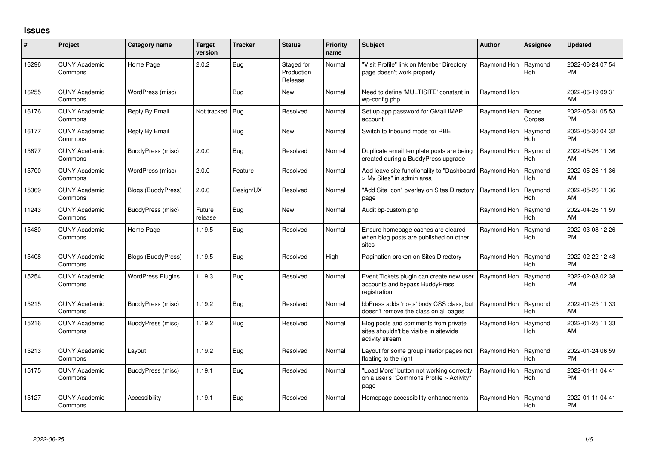## **Issues**

| #     | Project                         | Category name             | <b>Target</b><br>version | <b>Tracker</b> | <b>Status</b>                       | Priority<br>name | <b>Subject</b>                                                                                    | <b>Author</b> | Assignee              | <b>Updated</b>                |
|-------|---------------------------------|---------------------------|--------------------------|----------------|-------------------------------------|------------------|---------------------------------------------------------------------------------------------------|---------------|-----------------------|-------------------------------|
| 16296 | <b>CUNY Academic</b><br>Commons | Home Page                 | 2.0.2                    | <b>Bug</b>     | Staged for<br>Production<br>Release | Normal           | 'Visit Profile" link on Member Directory<br>page doesn't work properly                            | Raymond Hoh   | Raymond<br><b>Hoh</b> | 2022-06-24 07:54<br>PM        |
| 16255 | <b>CUNY Academic</b><br>Commons | WordPress (misc)          |                          | <b>Bug</b>     | <b>New</b>                          | Normal           | Need to define 'MULTISITE' constant in<br>wp-config.php                                           | Raymond Hoh   |                       | 2022-06-19 09:31<br>AM        |
| 16176 | <b>CUNY Academic</b><br>Commons | Reply By Email            | Not tracked   Bug        |                | Resolved                            | Normal           | Set up app password for GMail IMAP<br>account                                                     | Raymond Hoh   | Boone<br>Gorges       | 2022-05-31 05:53<br>PM        |
| 16177 | <b>CUNY Academic</b><br>Commons | Reply By Email            |                          | Bug            | <b>New</b>                          | Normal           | Switch to Inbound mode for RBE                                                                    | Raymond Hoh   | Raymond<br><b>Hoh</b> | 2022-05-30 04:32<br>PM        |
| 15677 | <b>CUNY Academic</b><br>Commons | BuddyPress (misc)         | 2.0.0                    | Bug            | Resolved                            | Normal           | Duplicate email template posts are being<br>created during a BuddyPress upgrade                   | Raymond Hoh   | Raymond<br><b>Hoh</b> | 2022-05-26 11:36<br>AM        |
| 15700 | <b>CUNY Academic</b><br>Commons | WordPress (misc)          | 2.0.0                    | Feature        | Resolved                            | Normal           | Add leave site functionality to "Dashboard<br>> My Sites" in admin area                           | Raymond Hoh   | Raymond<br><b>Hoh</b> | 2022-05-26 11:36<br>AM        |
| 15369 | <b>CUNY Academic</b><br>Commons | Blogs (BuddyPress)        | 2.0.0                    | Design/UX      | Resolved                            | Normal           | "Add Site Icon" overlay on Sites Directory<br>page                                                | Raymond Hoh   | Raymond<br><b>Hoh</b> | 2022-05-26 11:36<br>AM        |
| 11243 | <b>CUNY Academic</b><br>Commons | BuddyPress (misc)         | Future<br>release        | <b>Bug</b>     | New                                 | Normal           | Audit bp-custom.php                                                                               | Raymond Hoh   | Raymond<br><b>Hoh</b> | 2022-04-26 11:59<br>AM        |
| 15480 | <b>CUNY Academic</b><br>Commons | Home Page                 | 1.19.5                   | <b>Bug</b>     | Resolved                            | Normal           | Ensure homepage caches are cleared<br>when blog posts are published on other<br>sites             | Raymond Hoh   | Raymond<br><b>Hoh</b> | 2022-03-08 12:26<br>PM        |
| 15408 | <b>CUNY Academic</b><br>Commons | <b>Blogs (BuddyPress)</b> | 1.19.5                   | Bug            | Resolved                            | High             | Pagination broken on Sites Directory                                                              | Raymond Hoh   | Raymond<br><b>Hoh</b> | 2022-02-22 12:48<br><b>PM</b> |
| 15254 | <b>CUNY Academic</b><br>Commons | <b>WordPress Plugins</b>  | 1.19.3                   | <b>Bug</b>     | Resolved                            | Normal           | Event Tickets plugin can create new user<br>accounts and bypass BuddyPress<br>registration        | Raymond Hoh   | Raymond<br>Hoh        | 2022-02-08 02:38<br><b>PM</b> |
| 15215 | <b>CUNY Academic</b><br>Commons | BuddyPress (misc)         | 1.19.2                   | <b>Bug</b>     | Resolved                            | Normal           | bbPress adds 'no-js' body CSS class, but<br>doesn't remove the class on all pages                 | Raymond Hoh   | Raymond<br>Hoh        | 2022-01-25 11:33<br>AM        |
| 15216 | <b>CUNY Academic</b><br>Commons | BuddyPress (misc)         | 1.19.2                   | Bug            | Resolved                            | Normal           | Blog posts and comments from private<br>sites shouldn't be visible in sitewide<br>activity stream | Raymond Hoh   | Raymond<br><b>Hoh</b> | 2022-01-25 11:33<br>AM        |
| 15213 | <b>CUNY Academic</b><br>Commons | Layout                    | 1.19.2                   | Bug            | Resolved                            | Normal           | Layout for some group interior pages not<br>floating to the right                                 | Raymond Hoh   | Raymond<br><b>Hoh</b> | 2022-01-24 06:59<br><b>PM</b> |
| 15175 | <b>CUNY Academic</b><br>Commons | BuddyPress (misc)         | 1.19.1                   | <b>Bug</b>     | Resolved                            | Normal           | "Load More" button not working correctly<br>on a user's "Commons Profile > Activity"<br>page      | Raymond Hoh   | Raymond<br>Hoh        | 2022-01-11 04:41<br><b>PM</b> |
| 15127 | <b>CUNY Academic</b><br>Commons | Accessibility             | 1.19.1                   | <b>Bug</b>     | Resolved                            | Normal           | Homepage accessibility enhancements                                                               | Raymond Hoh   | Raymond<br>Hoh        | 2022-01-11 04:41<br>PM        |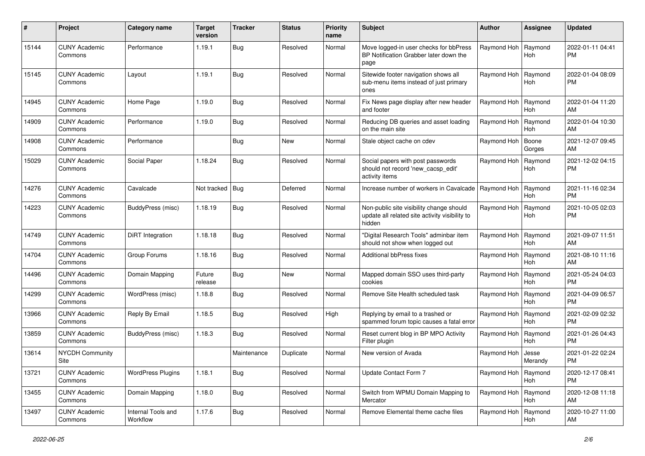| #     | Project                         | <b>Category name</b>           | <b>Target</b><br>version | <b>Tracker</b> | <b>Status</b> | <b>Priority</b><br>name | <b>Subject</b>                                                                                       | Author                | Assignee              | <b>Updated</b>                |
|-------|---------------------------------|--------------------------------|--------------------------|----------------|---------------|-------------------------|------------------------------------------------------------------------------------------------------|-----------------------|-----------------------|-------------------------------|
| 15144 | <b>CUNY Academic</b><br>Commons | Performance                    | 1.19.1                   | Bug            | Resolved      | Normal                  | Move logged-in user checks for bbPress<br>BP Notification Grabber later down the<br>page             | Raymond Hoh           | Raymond<br>Hoh        | 2022-01-11 04:41<br><b>PM</b> |
| 15145 | <b>CUNY Academic</b><br>Commons | Layout                         | 1.19.1                   | Bug            | Resolved      | Normal                  | Sitewide footer navigation shows all<br>sub-menu items instead of just primary<br>ones               | Raymond Hoh           | Raymond<br>Hoh        | 2022-01-04 08:09<br><b>PM</b> |
| 14945 | <b>CUNY Academic</b><br>Commons | Home Page                      | 1.19.0                   | Bug            | Resolved      | Normal                  | Fix News page display after new header<br>and footer                                                 | Raymond Hoh           | Raymond<br>Hoh        | 2022-01-04 11:20<br>AM        |
| 14909 | <b>CUNY Academic</b><br>Commons | Performance                    | 1.19.0                   | <b>Bug</b>     | Resolved      | Normal                  | Reducing DB queries and asset loading<br>on the main site                                            | Raymond Hoh           | Raymond<br><b>Hoh</b> | 2022-01-04 10:30<br>AM        |
| 14908 | <b>CUNY Academic</b><br>Commons | Performance                    |                          | <b>Bug</b>     | <b>New</b>    | Normal                  | Stale object cache on cdev                                                                           | Raymond Hoh           | Boone<br>Gorges       | 2021-12-07 09:45<br>AM        |
| 15029 | <b>CUNY Academic</b><br>Commons | Social Paper                   | 1.18.24                  | Bug            | Resolved      | Normal                  | Social papers with post passwords<br>should not record 'new_cacsp_edit'<br>activity items            | Raymond Hoh           | Raymond<br>Hoh        | 2021-12-02 04:15<br><b>PM</b> |
| 14276 | <b>CUNY Academic</b><br>Commons | Cavalcade                      | Not tracked   Bug        |                | Deferred      | Normal                  | Increase number of workers in Cavalcade                                                              | Raymond Hoh           | Raymond<br><b>Hoh</b> | 2021-11-16 02:34<br><b>PM</b> |
| 14223 | <b>CUNY Academic</b><br>Commons | BuddyPress (misc)              | 1.18.19                  | <b>Bug</b>     | Resolved      | Normal                  | Non-public site visibility change should<br>update all related site activity visibility to<br>hidden | Raymond Hoh           | Raymond<br>Hoh        | 2021-10-05 02:03<br><b>PM</b> |
| 14749 | <b>CUNY Academic</b><br>Commons | DiRT Integration               | 1.18.18                  | <b>Bug</b>     | Resolved      | Normal                  | "Digital Research Tools" adminbar item<br>should not show when logged out                            | Raymond Hoh           | Raymond<br><b>Hoh</b> | 2021-09-07 11:51<br>AM        |
| 14704 | <b>CUNY Academic</b><br>Commons | Group Forums                   | 1.18.16                  | <b>Bug</b>     | Resolved      | Normal                  | <b>Additional bbPress fixes</b>                                                                      | Raymond Hoh           | Raymond<br><b>Hoh</b> | 2021-08-10 11:16<br>AM        |
| 14496 | <b>CUNY Academic</b><br>Commons | Domain Mapping                 | Future<br>release        | <b>Bug</b>     | <b>New</b>    | Normal                  | Mapped domain SSO uses third-party<br>cookies                                                        | Raymond Hoh           | Raymond<br>Hoh        | 2021-05-24 04:03<br><b>PM</b> |
| 14299 | <b>CUNY Academic</b><br>Commons | WordPress (misc)               | 1.18.8                   | <b>Bug</b>     | Resolved      | Normal                  | Remove Site Health scheduled task                                                                    | Raymond Hoh           | Raymond<br>Hoh        | 2021-04-09 06:57<br><b>PM</b> |
| 13966 | <b>CUNY Academic</b><br>Commons | Reply By Email                 | 1.18.5                   | Bug            | Resolved      | High                    | Replying by email to a trashed or<br>spammed forum topic causes a fatal error                        | Raymond Hoh           | Raymond<br><b>Hoh</b> | 2021-02-09 02:32<br><b>PM</b> |
| 13859 | <b>CUNY Academic</b><br>Commons | BuddyPress (misc)              | 1.18.3                   | <b>Bug</b>     | Resolved      | Normal                  | Reset current blog in BP MPO Activity<br>Filter plugin                                               | Raymond Hoh           | Raymond<br>Hoh        | 2021-01-26 04:43<br><b>PM</b> |
| 13614 | <b>NYCDH Community</b><br>Site  |                                |                          | Maintenance    | Duplicate     | Normal                  | New version of Avada                                                                                 | Raymond Hoh           | Jesse<br>Merandy      | 2021-01-22 02:24<br>PM        |
| 13721 | <b>CUNY Academic</b><br>Commons | <b>WordPress Plugins</b>       | 1.18.1                   | <b>Bug</b>     | Resolved      | Normal                  | Update Contact Form 7                                                                                | Raymond Hoh Raymond   | Hoh                   | 2020-12-17 08:41<br>PM        |
| 13455 | <b>CUNY Academic</b><br>Commons | Domain Mapping                 | 1.18.0                   | <b>Bug</b>     | Resolved      | Normal                  | Switch from WPMU Domain Mapping to<br>Mercator                                                       | Raymond Hoh   Raymond | Hoh                   | 2020-12-08 11:18<br>AM        |
| 13497 | <b>CUNY Academic</b><br>Commons | Internal Tools and<br>Workflow | 1.17.6                   | <b>Bug</b>     | Resolved      | Normal                  | Remove Elemental theme cache files                                                                   | Raymond Hoh           | Raymond<br>Hoh        | 2020-10-27 11:00<br>AM        |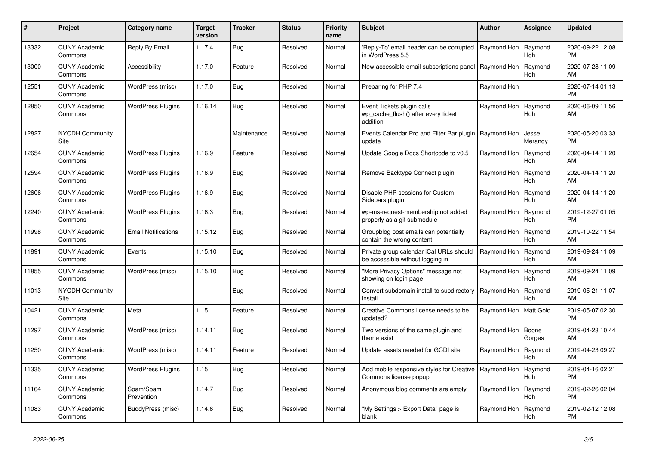| #     | Project                         | Category name              | <b>Target</b><br>version | <b>Tracker</b> | <b>Status</b> | <b>Priority</b><br>name | <b>Subject</b>                                                                | <b>Author</b> | <b>Assignee</b>       | <b>Updated</b>                |
|-------|---------------------------------|----------------------------|--------------------------|----------------|---------------|-------------------------|-------------------------------------------------------------------------------|---------------|-----------------------|-------------------------------|
| 13332 | <b>CUNY Academic</b><br>Commons | Reply By Email             | 1.17.4                   | Bug            | Resolved      | Normal                  | 'Reply-To' email header can be corrupted<br>in WordPress 5.5                  | Raymond Hoh   | Raymond<br><b>Hoh</b> | 2020-09-22 12:08<br><b>PM</b> |
| 13000 | <b>CUNY Academic</b><br>Commons | Accessibility              | 1.17.0                   | Feature        | Resolved      | Normal                  | New accessible email subscriptions panel                                      | Raymond Hoh   | Raymond<br><b>Hoh</b> | 2020-07-28 11:09<br>AM        |
| 12551 | <b>CUNY Academic</b><br>Commons | WordPress (misc)           | 1.17.0                   | Bug            | Resolved      | Normal                  | Preparing for PHP 7.4                                                         | Raymond Hoh   |                       | 2020-07-14 01:13<br><b>PM</b> |
| 12850 | <b>CUNY Academic</b><br>Commons | <b>WordPress Plugins</b>   | 1.16.14                  | <b>Bug</b>     | Resolved      | Normal                  | Event Tickets plugin calls<br>wp cache flush() after every ticket<br>addition | Raymond Hoh   | Raymond<br><b>Hoh</b> | 2020-06-09 11:56<br>AM        |
| 12827 | <b>NYCDH Community</b><br>Site  |                            |                          | Maintenance    | Resolved      | Normal                  | Events Calendar Pro and Filter Bar plugin   Raymond Hoh<br>update             |               | Jesse<br>Merandy      | 2020-05-20 03:33<br><b>PM</b> |
| 12654 | <b>CUNY Academic</b><br>Commons | <b>WordPress Plugins</b>   | 1.16.9                   | Feature        | Resolved      | Normal                  | Update Google Docs Shortcode to v0.5                                          | Raymond Hoh   | Raymond<br><b>Hoh</b> | 2020-04-14 11:20<br>AM        |
| 12594 | <b>CUNY Academic</b><br>Commons | <b>WordPress Plugins</b>   | 1.16.9                   | Bug            | Resolved      | Normal                  | Remove Backtype Connect plugin                                                | Raymond Hoh   | Raymond<br><b>Hoh</b> | 2020-04-14 11:20<br>AM        |
| 12606 | <b>CUNY Academic</b><br>Commons | <b>WordPress Plugins</b>   | 1.16.9                   | <b>Bug</b>     | Resolved      | Normal                  | Disable PHP sessions for Custom<br>Sidebars plugin                            | Raymond Hoh   | Raymond<br><b>Hoh</b> | 2020-04-14 11:20<br>AM        |
| 12240 | <b>CUNY Academic</b><br>Commons | <b>WordPress Plugins</b>   | 1.16.3                   | <b>Bug</b>     | Resolved      | Normal                  | wp-ms-request-membership not added<br>properly as a git submodule             | Raymond Hoh   | Raymond<br><b>Hoh</b> | 2019-12-27 01:05<br><b>PM</b> |
| 11998 | <b>CUNY Academic</b><br>Commons | <b>Email Notifications</b> | 1.15.12                  | <b>Bug</b>     | Resolved      | Normal                  | Groupblog post emails can potentially<br>contain the wrong content            | Raymond Hoh   | Raymond<br>Hoh        | 2019-10-22 11:54<br>AM        |
| 11891 | <b>CUNY Academic</b><br>Commons | Events                     | 1.15.10                  | Bug            | Resolved      | Normal                  | Private group calendar iCal URLs should<br>be accessible without logging in   | Raymond Hoh   | Raymond<br><b>Hoh</b> | 2019-09-24 11:09<br>AM        |
| 11855 | <b>CUNY Academic</b><br>Commons | WordPress (misc)           | 1.15.10                  | Bug            | Resolved      | Normal                  | 'More Privacy Options" message not<br>showing on login page                   | Raymond Hoh   | Raymond<br><b>Hoh</b> | 2019-09-24 11:09<br>AM        |
| 11013 | <b>NYCDH Community</b><br>Site  |                            |                          | Bug            | Resolved      | Normal                  | Convert subdomain install to subdirectory<br>install                          | Raymond Hoh   | Raymond<br><b>Hoh</b> | 2019-05-21 11:07<br>AM        |
| 10421 | <b>CUNY Academic</b><br>Commons | Meta                       | 1.15                     | Feature        | Resolved      | Normal                  | Creative Commons license needs to be<br>updated?                              | Raymond Hoh   | Matt Gold             | 2019-05-07 02:30<br><b>PM</b> |
| 11297 | <b>CUNY Academic</b><br>Commons | WordPress (misc)           | 1.14.11                  | Bug            | Resolved      | Normal                  | Two versions of the same plugin and<br>theme exist                            | Raymond Hoh   | Boone<br>Gorges       | 2019-04-23 10:44<br>AM        |
| 11250 | <b>CUNY Academic</b><br>Commons | WordPress (misc)           | 1.14.11                  | Feature        | Resolved      | Normal                  | Update assets needed for GCDI site                                            | Raymond Hoh   | Raymond<br><b>Hoh</b> | 2019-04-23 09:27<br>AM        |
| 11335 | <b>CUNY Academic</b><br>Commons | <b>WordPress Plugins</b>   | 1.15                     | Bug            | Resolved      | Normal                  | Add mobile responsive styles for Creative<br>Commons license popup            | Raymond Hoh   | Raymond<br><b>Hoh</b> | 2019-04-16 02:21<br><b>PM</b> |
| 11164 | <b>CUNY Academic</b><br>Commons | Spam/Spam<br>Prevention    | 1.14.7                   | Bug            | Resolved      | Normal                  | Anonymous blog comments are empty                                             | Raymond Hoh   | Raymond<br>Hoh        | 2019-02-26 02:04<br><b>PM</b> |
| 11083 | <b>CUNY Academic</b><br>Commons | BuddyPress (misc)          | 1.14.6                   | Bug            | Resolved      | Normal                  | 'My Settings > Export Data" page is<br>blank                                  | Raymond Hoh   | Raymond<br>Hoh        | 2019-02-12 12:08<br>PM        |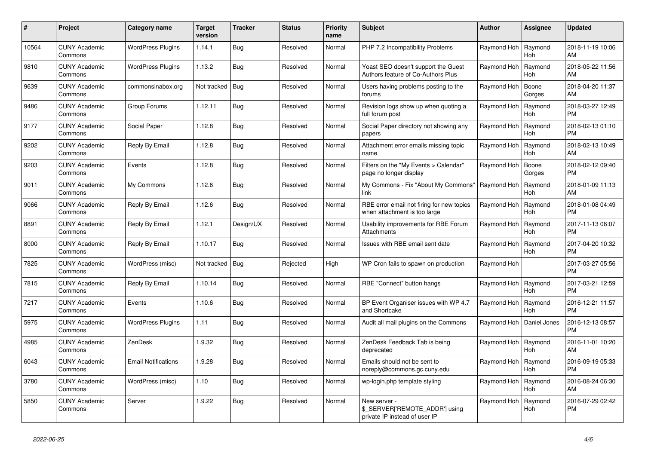| #     | Project                         | Category name              | <b>Target</b><br>version | <b>Tracker</b> | <b>Status</b> | <b>Priority</b><br>name | <b>Subject</b>                                                                  | <b>Author</b> | Assignee              | <b>Updated</b>                |
|-------|---------------------------------|----------------------------|--------------------------|----------------|---------------|-------------------------|---------------------------------------------------------------------------------|---------------|-----------------------|-------------------------------|
| 10564 | <b>CUNY Academic</b><br>Commons | <b>WordPress Plugins</b>   | 1.14.1                   | <b>Bug</b>     | Resolved      | Normal                  | PHP 7.2 Incompatibility Problems                                                | Raymond Hoh   | Raymond<br>Hoh        | 2018-11-19 10:06<br>AM        |
| 9810  | <b>CUNY Academic</b><br>Commons | <b>WordPress Plugins</b>   | 1.13.2                   | <b>Bug</b>     | Resolved      | Normal                  | Yoast SEO doesn't support the Guest<br>Authors feature of Co-Authors Plus       | Raymond Hoh   | Ravmond<br><b>Hoh</b> | 2018-05-22 11:56<br>AM        |
| 9639  | <b>CUNY Academic</b><br>Commons | commonsinabox.org          | Not tracked   Bug        |                | Resolved      | Normal                  | Users having problems posting to the<br>forums                                  | Raymond Hoh   | Boone<br>Gorges       | 2018-04-20 11:37<br>AM        |
| 9486  | <b>CUNY Academic</b><br>Commons | Group Forums               | 1.12.11                  | <b>Bug</b>     | Resolved      | Normal                  | Revision logs show up when quoting a<br>full forum post                         | Raymond Hoh   | Raymond<br><b>Hoh</b> | 2018-03-27 12:49<br><b>PM</b> |
| 9177  | <b>CUNY Academic</b><br>Commons | Social Paper               | 1.12.8                   | <b>Bug</b>     | Resolved      | Normal                  | Social Paper directory not showing any<br>papers                                | Raymond Hoh   | Raymond<br>Hoh        | 2018-02-13 01:10<br><b>PM</b> |
| 9202  | <b>CUNY Academic</b><br>Commons | Reply By Email             | 1.12.8                   | Bug            | Resolved      | Normal                  | Attachment error emails missing topic<br>name                                   | Raymond Hoh   | Raymond<br>Hoh        | 2018-02-13 10:49<br>AM        |
| 9203  | <b>CUNY Academic</b><br>Commons | Events                     | 1.12.8                   | <b>Bug</b>     | Resolved      | Normal                  | Filters on the "My Events > Calendar"<br>page no longer display                 | Raymond Hoh   | Boone<br>Gorges       | 2018-02-12 09:40<br><b>PM</b> |
| 9011  | <b>CUNY Academic</b><br>Commons | My Commons                 | 1.12.6                   | Bug            | Resolved      | Normal                  | My Commons - Fix "About My Commons"<br>link                                     | Raymond Hoh   | Raymond<br>Hoh        | 2018-01-09 11:13<br>AM        |
| 9066  | <b>CUNY Academic</b><br>Commons | Reply By Email             | 1.12.6                   | Bug            | Resolved      | Normal                  | RBE error email not firing for new topics<br>when attachment is too large       | Raymond Hoh   | Raymond<br>Hoh        | 2018-01-08 04:49<br><b>PM</b> |
| 8891  | <b>CUNY Academic</b><br>Commons | Reply By Email             | 1.12.1                   | Design/UX      | Resolved      | Normal                  | Usability improvements for RBE Forum<br><b>Attachments</b>                      | Raymond Hoh   | Raymond<br><b>Hoh</b> | 2017-11-13 06:07<br><b>PM</b> |
| 8000  | <b>CUNY Academic</b><br>Commons | Reply By Email             | 1.10.17                  | <b>Bug</b>     | Resolved      | Normal                  | Issues with RBE email sent date                                                 | Raymond Hoh   | Raymond<br><b>Hoh</b> | 2017-04-20 10:32<br><b>PM</b> |
| 7825  | <b>CUNY Academic</b><br>Commons | WordPress (misc)           | Not tracked   Bug        |                | Rejected      | High                    | WP Cron fails to spawn on production                                            | Raymond Hoh   |                       | 2017-03-27 05:56<br><b>PM</b> |
| 7815  | <b>CUNY Academic</b><br>Commons | Reply By Email             | 1.10.14                  | <b>Bug</b>     | Resolved      | Normal                  | RBE "Connect" button hangs                                                      | Raymond Hoh   | Raymond<br><b>Hoh</b> | 2017-03-21 12:59<br><b>PM</b> |
| 7217  | <b>CUNY Academic</b><br>Commons | Events                     | 1.10.6                   | <b>Bug</b>     | Resolved      | Normal                  | BP Event Organiser issues with WP 4.7<br>and Shortcake                          | Raymond Hoh   | Raymond<br><b>Hoh</b> | 2016-12-21 11:57<br><b>PM</b> |
| 5975  | <b>CUNY Academic</b><br>Commons | <b>WordPress Plugins</b>   | 1.11                     | Bug            | Resolved      | Normal                  | Audit all mail plugins on the Commons                                           | Raymond Hoh   | Daniel Jones          | 2016-12-13 08:57<br><b>PM</b> |
| 4985  | <b>CUNY Academic</b><br>Commons | ZenDesk                    | 1.9.32                   | <b>Bug</b>     | Resolved      | Normal                  | ZenDesk Feedback Tab is being<br>deprecated                                     | Raymond Hoh   | Raymond<br><b>Hoh</b> | 2016-11-01 10:20<br>AM        |
| 6043  | <b>CUNY Academic</b><br>Commons | <b>Email Notifications</b> | 1.9.28                   | <b>Bug</b>     | Resolved      | Normal                  | Emails should not be sent to<br>noreply@commons.gc.cuny.edu                     | Raymond Hoh   | Raymond<br><b>Hoh</b> | 2016-09-19 05:33<br><b>PM</b> |
| 3780  | <b>CUNY Academic</b><br>Commons | WordPress (misc)           | 1.10                     | Bug            | Resolved      | Normal                  | wp-login.php template styling                                                   | Raymond Hoh   | Raymond<br>Hoh        | 2016-08-24 06:30<br>AM        |
| 5850  | <b>CUNY Academic</b><br>Commons | Server                     | 1.9.22                   | <b>Bug</b>     | Resolved      | Normal                  | New server -<br>\$ SERVER['REMOTE ADDR'] using<br>private IP instead of user IP | Raymond Hoh   | Raymond<br><b>Hoh</b> | 2016-07-29 02:42<br><b>PM</b> |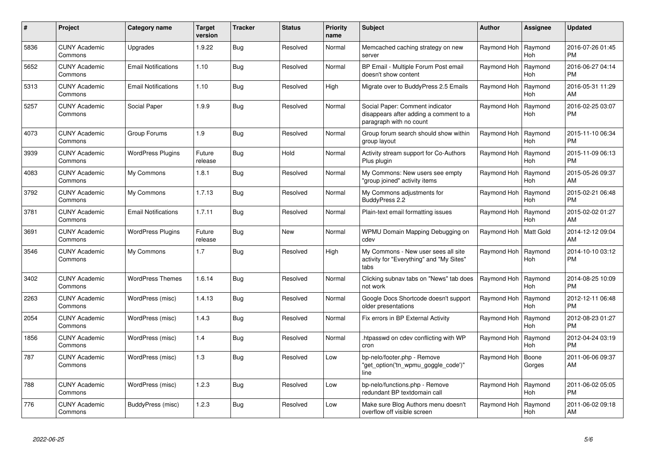| $\pmb{\#}$ | Project                         | <b>Category name</b>       | <b>Target</b><br>version | <b>Tracker</b> | <b>Status</b> | <b>Priority</b><br>name | <b>Subject</b>                                                                                       | Author                  | Assignee              | <b>Updated</b>                |
|------------|---------------------------------|----------------------------|--------------------------|----------------|---------------|-------------------------|------------------------------------------------------------------------------------------------------|-------------------------|-----------------------|-------------------------------|
| 5836       | <b>CUNY Academic</b><br>Commons | Upgrades                   | 1.9.22                   | Bug            | Resolved      | Normal                  | Memcached caching strategy on new<br>server                                                          | Raymond Hoh             | Raymond<br><b>Hoh</b> | 2016-07-26 01:45<br><b>PM</b> |
| 5652       | <b>CUNY Academic</b><br>Commons | <b>Email Notifications</b> | 1.10                     | <b>Bug</b>     | Resolved      | Normal                  | BP Email - Multiple Forum Post email<br>doesn't show content                                         | Raymond Hoh             | Raymond<br><b>Hoh</b> | 2016-06-27 04:14<br><b>PM</b> |
| 5313       | <b>CUNY Academic</b><br>Commons | <b>Email Notifications</b> | 1.10                     | <b>Bug</b>     | Resolved      | High                    | Migrate over to BuddyPress 2.5 Emails                                                                | Raymond Hoh             | Raymond<br><b>Hoh</b> | 2016-05-31 11:29<br>AM        |
| 5257       | <b>CUNY Academic</b><br>Commons | Social Paper               | 1.9.9                    | Bug            | Resolved      | Normal                  | Social Paper: Comment indicator<br>disappears after adding a comment to a<br>paragraph with no count | Raymond Hoh             | Raymond<br>Hoh        | 2016-02-25 03:07<br>PM        |
| 4073       | <b>CUNY Academic</b><br>Commons | Group Forums               | 1.9                      | <b>Bug</b>     | Resolved      | Normal                  | Group forum search should show within<br>group layout                                                | Raymond Hoh             | Raymond<br><b>Hoh</b> | 2015-11-10 06:34<br><b>PM</b> |
| 3939       | <b>CUNY Academic</b><br>Commons | <b>WordPress Plugins</b>   | Future<br>release        | <b>Bug</b>     | Hold          | Normal                  | Activity stream support for Co-Authors<br>Plus plugin                                                | Raymond Hoh             | Raymond<br><b>Hoh</b> | 2015-11-09 06:13<br><b>PM</b> |
| 4083       | <b>CUNY Academic</b><br>Commons | My Commons                 | 1.8.1                    | Bug            | Resolved      | Normal                  | My Commons: New users see empty<br>'group joined" activity items                                     | Raymond Hoh             | Raymond<br><b>Hoh</b> | 2015-05-26 09:37<br>AM        |
| 3792       | <b>CUNY Academic</b><br>Commons | My Commons                 | 1.7.13                   | <b>Bug</b>     | Resolved      | Normal                  | My Commons adjustments for<br>BuddyPress 2.2                                                         | Raymond Hoh             | Raymond<br><b>Hoh</b> | 2015-02-21 06:48<br><b>PM</b> |
| 3781       | <b>CUNY Academic</b><br>Commons | <b>Email Notifications</b> | 1.7.11                   | Bug            | Resolved      | Normal                  | Plain-text email formatting issues                                                                   | Raymond Hoh             | Raymond<br><b>Hoh</b> | 2015-02-02 01:27<br>AM        |
| 3691       | <b>CUNY Academic</b><br>Commons | <b>WordPress Plugins</b>   | Future<br>release        | Bug            | <b>New</b>    | Normal                  | WPMU Domain Mapping Debugging on<br>cdev                                                             | Raymond Hoh   Matt Gold |                       | 2014-12-12 09:04<br>AM        |
| 3546       | <b>CUNY Academic</b><br>Commons | My Commons                 | 1.7                      | <b>Bug</b>     | Resolved      | High                    | My Commons - New user sees all site<br>activity for "Everything" and "My Sites"<br>tabs              | Raymond Hoh             | Raymond<br>Hoh        | 2014-10-10 03:12<br><b>PM</b> |
| 3402       | <b>CUNY Academic</b><br>Commons | <b>WordPress Themes</b>    | 1.6.14                   | Bug            | Resolved      | Normal                  | Clicking subnav tabs on "News" tab does<br>not work                                                  | Raymond Hoh             | Raymond<br><b>Hoh</b> | 2014-08-25 10:09<br><b>PM</b> |
| 2263       | <b>CUNY Academic</b><br>Commons | WordPress (misc)           | 1.4.13                   | <b>Bug</b>     | Resolved      | Normal                  | Google Docs Shortcode doesn't support<br>older presentations                                         | Raymond Hoh             | Raymond<br>Hoh        | 2012-12-11 06:48<br><b>PM</b> |
| 2054       | <b>CUNY Academic</b><br>Commons | WordPress (misc)           | 1.4.3                    | Bug            | Resolved      | Normal                  | Fix errors in BP External Activity                                                                   | Raymond Hoh             | Raymond<br><b>Hoh</b> | 2012-08-23 01:27<br><b>PM</b> |
| 1856       | <b>CUNY Academic</b><br>Commons | WordPress (misc)           | 1.4                      | <b>Bug</b>     | Resolved      | Normal                  | htpasswd on cdev conflicting with WP<br>cron                                                         | Raymond Hoh             | Raymond<br><b>Hoh</b> | 2012-04-24 03:19<br><b>PM</b> |
| 787        | <b>CUNY Academic</b><br>Commons | WordPress (misc)           | 1.3                      | <b>Bug</b>     | Resolved      | Low                     | bp-nelo/footer.php - Remove<br>"get_option('tn_wpmu_goggle_code')"<br>line                           | Raymond Hoh             | Boone<br>Gorges       | 2011-06-06 09:37<br>AM        |
| 788        | <b>CUNY Academic</b><br>Commons | WordPress (misc)           | 1.2.3                    | Bug            | Resolved      | Low                     | bp-nelo/functions.php - Remove<br>redundant BP textdomain call                                       | Raymond Hoh             | Raymond<br><b>Hoh</b> | 2011-06-02 05:05<br><b>PM</b> |
| 776        | <b>CUNY Academic</b><br>Commons | BuddyPress (misc)          | 1.2.3                    | Bug            | Resolved      | Low                     | Make sure Blog Authors menu doesn't<br>overflow off visible screen                                   | Raymond Hoh             | Raymond<br>Hoh        | 2011-06-02 09:18<br>AM        |